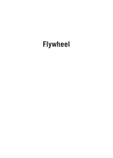# **Flywheel**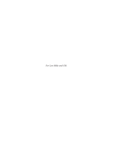*For Len-Mike and Olé.*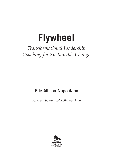# **Flywheel**

### *Transformational Leadership Coaching for Sustainable Change*

### Elle Allison-Napolitano

*Foreword by Rob and Kathy Bocchino*

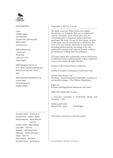

#### FOR INFORMATION:

Corwin A SAGE Company 2455 Teller Road Thousand Oaks, California 91320 (800) 233-9936 www.corwin.com

SAGE Publications Ltd. 1 Oliver's Yard 55 City Road London EC1Y 1SP United Kingdom

SAGE Publications India Pvt. Ltd. B 1/I 1 Mohan Cooperative Industrial Area Mathura Road, New Delhi 110 044 India

SAGE Publications Asia-Pacific Pte. Ltd. 3 Church Street #10-04 Samsung Hub Singapore 049483

Acquisitions Editor: Arnis Burvikovs Associate Editor: Desirée A. Bartlett Editorial Assistants: Mayan White and Ariel Price Production Editor: Melanie Birdsall Copy Editor: Janet Ford Typesetter: C&M Digitals (P) Ltd. Proofreader: Victoria Reed-Castro Indexer: Molly Hall Cover Designer: Rose Storey Permissions Editor: Jennifer Barron

#### Copyright 2013 by Corwin

All rights reserved. When forms and sample documents are included, their use is authorized only by educators, local school sites, and/or noncommercial or nonprofit entities that have purchased the book. Except for that usage, no part of this book may be reproduced or utilized in any form or by any means, electronic or mechanical, including photocopying, recording, or by any information storage and retrieval system, without permission in writing from the publisher.

All trade names and trademarks recited, referenced, or reflected herein are the property of their respective owners who retain all rights thereto.

Printed in the United States of America.

*Library of Congress Cataloging-in-Publication Data*

Allison-Napolitano, Elle. Flywheel : transformational leadership coaching for sustainable change / Elle Allison-Napolitano.

pages cm Includes bibliographical references and index.

ISBN 978-1-4522-6091-4 (pbk.)

1. Executive coaching. 2. Leadership—Study and teaching. I. Title.

HD30.4.A455 2013 658.4'07124—dc23 2013014806

This book is printed on acid-free paper.

13 14 15 16 17 10 9 8 7 6 5 4 3 2 1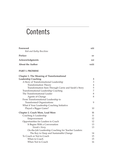## **Contents**

| Foreword<br>Rob and Kathy Bocchino                   | xiii           |
|------------------------------------------------------|----------------|
| Preface                                              | XV             |
| Acknowledgments                                      | xxi            |
| <b>About the Author</b>                              | xxiii          |
| <b>PART I. PROMISE</b>                               |                |
| <b>Chapter 1. The Meaning of Transformational</b>    |                |
| <b>Leadership Coaching</b>                           | 3              |
| A Story of Transformational Leadership               | 3              |
| <b>Transformation Theory</b>                         | $\overline{4}$ |
| Transformation Seen Through Carrie and Sarah's Story | 5              |
| Transformational Leadership Coaching                 | 7              |
| The Transformational Leader                          | 8              |
| <b>Agents of Change</b>                              | 8              |
| From Transformational Leadership to                  |                |
| <b>Transformed Organizations</b>                     | 9              |
| What if Your Leadership Coaching Initiative          |                |
| Played a Bigger Game?                                | 10             |
| <b>Chapter 2. Coach More, Lead More</b>              | 11             |
| Coaching Is Leadership                               | 11             |
| Empowerment                                          | 12             |
| Opportunities for Leaders to Coach                   | 12             |
| It Begins With a Conversation                        | 13             |

| It begins with a Conversation                       | 1.5 |
|-----------------------------------------------------|-----|
| Norah's Story                                       | 13  |
| On-the-Job Leadership Coaching for Teacher Leaders: |     |
| The Key to Deep and Sustainable Change              | 14  |
| To Coach or Not to Coach                            | 15  |
| When to Coach                                       | 15  |
| When Not to Coach                                   | 16  |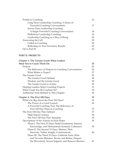| Portals to Coaching                        | 16 |
|--------------------------------------------|----|
| Long-Term Leadership Coaching: A Series of |    |
| <b>Powerful Coaching Conversations</b>     | 17 |
| Just-in-Time Leadership Coaching:          |    |
| A Single Powerful Coaching Conversation    | 18 |
| <b>Walkabout Leadership Coaching</b>       | 19 |
| Leadership Coaching as a Way of Being      | 20 |
| Answering the Call                         | 20 |
| Called to Coaching                         | 20 |
| Reflecting on Your Inventory Results       | 22 |
| On to Part II!                             | 22 |

#### **PART II. PROJECTS**

| <b>Chapter 3. The Greater Good: What Leaders</b>        |    |
|---------------------------------------------------------|----|
| Want You to Coach Them On                               | 25 |
| Projects                                                | 26 |
| The Relevance of Projects to Coaching Conversations     | 26 |
| What Makes a Project?                                   | 27 |
| The Greater Good                                        | 28 |
| The Greater Good Defined                                | 28 |
| Wisdom and the Greater Good                             | 28 |
| The Greater Good in Action                              | 30 |
| Helping Leaders Select Coaching Projects                | 31 |
| What Could You Be Coached On?                           | 34 |
| Additional Tools Related to This Chapter                | 34 |
| <b>Chapter 4. The First 100 Days</b>                    | 35 |
| What's So Big About the First 100 Days?                 | 36 |
| The Power of a Good Launch                              | 36 |
| A Powerful Coaching Tool: The Relevancy of              |    |
| First 100-Day Plans to Coaching                         | 37 |
| The First 100-Day Plan Defined                          | 37 |
| <b>High Impact Actions</b>                              | 38 |
| The First 100-Day Plan Template                         | 39 |
| Descriptions of the Actions in Each Phase               | 39 |
| Phase I. The First 33 Days: Build Excitement, Interest, |    |
| Knowledge, and Demonstrate Systemic Coherence           | 39 |
| Phase II. The Second 33 Days: Metrics, Pilot,           |    |
| Innovate, Tinker, Insight, Communicate                  | 40 |
| Phase III. The Third 33 Days: Celebrate Early Wins      |    |
| and Favorite Mistakes, Revise and Refine, Deepen        |    |
| the Movement, Secure Support, and Remove Barriers       | 41 |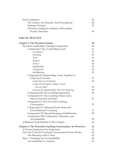| <b>Final Guidelines</b>                       |     |
|-----------------------------------------------|-----|
| The Actions Are Prompts, Not Prescriptions    | 42. |
| Timing of Actions                             | 43. |
| Processes Leading to Artifacts, Deliverables, |     |
| Events, Decisions                             | 43. |

#### **PART III. PRACTICE**

| Chapter 5. The Flywheel System                             | 49 |
|------------------------------------------------------------|----|
| Flywheel Leadership Coaching Components                    | 50 |
| Component I. Be a Leadership Coach                         | 51 |
| Acceptance                                                 | 51 |
| Humility                                                   | 51 |
| <b>Trust</b>                                               | 51 |
| Respect                                                    | 52 |
| Service                                                    | 52 |
| Equifinality                                               | 52 |
| Compassion                                                 | 53 |
| Mindfulness                                                | 53 |
| Component II. Relationship: Come Together as               |    |
| Coach and Coachee                                          | 53 |
| Coach Into an Invitation                                   | 54 |
| Create the Invitation: May I Coach                         |    |
| You on That?                                               | 54 |
| Ground the Relationship: The First Meeting                 | 55 |
| Component III. The Coaching Agreement                      | 56 |
| Component IV. The Coaching Project and a                   |    |
| Plan for the First 100 Days                                | 57 |
| Component V. The Powerful Coaching                         |    |
| Conversation                                               | 57 |
| Component VI. Optional Onsite Visits and                   |    |
| <b>Event Reflection Coaching</b>                           | 57 |
| Component VII. Record Keeping and Reflection               | 58 |
| Component VIII. Celebration, Outcomes, and                 |    |
| Accountability                                             | 59 |
| Additional Tools Related to This Chapter                   | 60 |
| Chapter 6. The Powerful Coaching Conversation: An Overview | 61 |
| A Process Engineered for Inspiration                       | 61 |
| How the Powerful Coaching Conversation Process Works       | 63 |
| The Meaning of the Colors                                  | 63 |
| Step 1. Greetings and Accountability                       | 64 |
| <b>Accountability for Actions</b>                          | 65 |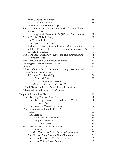| What Coaches Do In Step 1                                    | 65 |
|--------------------------------------------------------------|----|
| A Need for Restraint                                         | 65 |
| Closure and Transition to Step 2                             | 66 |
| Step 2. Connect to the Work and Focus This Coaching Session  | 66 |
| Sources of Focus                                             | 66 |
| Antagonistic Forces, and Windfalls, and Opportunities        | 67 |
| Step 3. Coachee Tells the Story                              | 67 |
| The Value of Listening                                       | 68 |
| What Coaches Do in Step 3                                    | 68 |
| Step 4. Question Assumptions and Deepen Understanding        | 69 |
| Step 5. Interact Through Thought Leadership Questions (TLQs) | 70 |
| Thought Leadership                                           | 70 |
| Step 6 and Step 7. Generative Reflection and Brainstorming   | 71 |
| A Different Place                                            | 71 |
| Step 8. Wisdom and Commitment to Action                      | 72 |
| Drawing the Conversation to Closure                          | 73 |
| "You're Going to Be Great"                                   | 73 |
| A Series of Powerful Conversations Leading to Wisdom and     |    |
| <b>Transformational Change</b>                               | 73 |
| A Journey That Trends Up                                     | 74 |
| Hills and Valleys                                            | 74 |
| A Series of Coaching Episodes                                | 75 |
| Meanwhile, Back in the Real World                            | 75 |
| It Ain't Always Pretty, But You're Going to Be Great         | 76 |
| Additional Tools Related to This Chapter                     | 76 |
| Chapter 7. Listen, Just Listen                               | 79 |
| What Listening Means to Coaching                             | 81 |
| What Listening Means to the Leaders You Coach                | 81 |
| Love and Shelter                                             | 82 |
| What Listening Means to the Coach                            | 82 |
| What Stops Coaches From Listening?                           | 83 |
| <b>Habits</b>                                                | 83 |
| <b>Habit Triggers</b>                                        | 83 |
| Anxiety and Other Emotions                                   | 83 |
| Fear of Not "Lookin' Good"                                   | 84 |
| In Need of Renewal                                           | 84 |
| What Coaches "Do" When They Listen                           | 85 |
| Fall to Silence                                              | 85 |
| More Than a Step in the Coaching Conversation                | 85 |
| They Release Their Personal Net of Memories                  | 86 |
| They Listen in Service of Their Coachees                     | 86 |
| They Listen With a "Coach's Mind"                            | 86 |
|                                                              |    |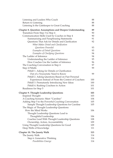| Listening and Leaders Who Coach                                                                | 88  |
|------------------------------------------------------------------------------------------------|-----|
| Return to Listening                                                                            | 88  |
| Listening Is the Gatekeeper to Great Coaching                                                  | 88  |
| <b>Chapter 8. Question Assumptions and Deepen Understanding</b>                                | 89  |
| Transition From Step 3 to Step 4                                                               | 90  |
| Communication Skills Used by Coaches in Step 4                                                 | 90  |
| Summarizing and Paraphrasing Statements                                                        | 91  |
| Questions That Ask for Details and Clarification                                               | 92  |
| What Makes Detail and Clarification                                                            |     |
| Questions Powerful                                                                             | 93  |
| <b>Examples of Detail Questions</b>                                                            | 93  |
| <b>Examples of Clarifying Questions</b>                                                        | 94  |
| The Ladder of Inference                                                                        | 94  |
| Understanding the Ladder of Inference                                                          | 95  |
| How Coaches Use the Ladder of Inference                                                        | 96  |
| The Coaching Conversation in Step 4                                                            | 97  |
| Step 4 Pitfalls                                                                                | 99  |
| Pitfall 1. Asking for Details or Clarification                                                 |     |
| Out of a Voyeuristic Need to Know                                                              | 99  |
| Pitfall 2. Asking Questions Based on Past Personal                                             |     |
| Experiences Instead of From the Context of Coachees                                            | 100 |
| Pitfall 3. Prematurely Introducing New Ideas                                                   | 100 |
| Pitfall 4. Rushing Coachees to Action                                                          | 101 |
| Readiness for Step 5                                                                           | 101 |
| <b>Chapter 9. Thought Leadership Questions</b>                                                 | 103 |
| <b>Inspired Thought</b>                                                                        | 103 |
| A Coaching Scenario: Meet "Caroline"                                                           | 104 |
| Adding Step 5 to the Powerful Coaching Conversation                                            | 105 |
| Sample Thought Leadership Questions for Caroline<br>The Magic of Thought Leadership Questions: | 105 |
| How the Mind Works                                                                             | 106 |
| Thought Leadership Questions Lead to                                                           |     |
| Thoughtful Leadership                                                                          | 106 |
| Coaches Lead With Thought Leadership Questions                                                 | 108 |
| Ownership, Action, Accountability                                                              | 109 |
| Using Thought Leadership Questions for Good                                                    | 109 |
| Deep Wells of Knowledge                                                                        | 111 |
| <b>Chapter 10. The Jaunty Walk</b>                                                             | 113 |
| The Jaunty Walk                                                                                | 114 |
| Step 6. Generative Thinking                                                                    | 114 |
| Possibilities Emerge                                                                           | 114 |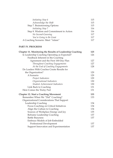| Initiating Step 6                       | 115 |
|-----------------------------------------|-----|
| Acknowledge the Shift                   | 115 |
| Step 7. Brainstorming Options           | 115 |
| Initiating Step 7                       | 116 |
| Step 8. Wisdom and Commitment to Action | 116 |
| No Second-Guessing                      | 117 |
| You're Going to Be Great                | 117 |
| A Coaching Scenario: Meet "Adam"        | 117 |

#### **PART IV. PROGRESS**

| <b>Chapter 11. Monitoring the Results of Leadership Coaching</b> | 125 |
|------------------------------------------------------------------|-----|
| Is Leadership Coaching Operating as Expected?                    | 126 |
| Feedback Inherent in the Coaching                                |     |
| Agreement and the First 100-Day Plan                             | 127 |
| Throughout Coaching Engagements                                  | 127 |
| At the End of Coaching Engagements                               | 128 |
| Do Leaders With Coaches Create Results for                       |     |
| the Organization?                                                | 129 |
| A Scenario                                                       | 129 |
| Project Indicators                                               | 129 |
| Organizational Indicators                                        | 130 |
| Student Achievement Indicators                                   | 130 |
| Link Back to Coaching                                            | 131 |
| Here Comes the Tricky Part                                       | 131 |
| <b>Chapter 12. Start a Coaching Movement</b>                     | 133 |
| Remember When We "Did" Coaching?                                 | 133 |
| Organizational Considerations That Support                       |     |
| Leadership Coaching                                              | 134 |
| Focus Coaching on Critical Initiatives                           | 134 |
| Align the Culture to Coaching                                    | 134 |
| Sources of Workplace Energy and Joy                              | 135 |
| Reframe Leadership Coaching                                      | 137 |
| <b>Battle Busyness</b>                                           | 137 |
| Embrace Models of Job-Embedded                                   |     |
| Professional Development                                         | 137 |
| Support Innovation and Experimentation                           | 137 |
|                                                                  |     |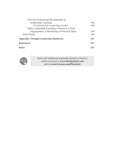| Provide Professional Development in           |     |
|-----------------------------------------------|-----|
| Leadership Coaching                           | 138 |
| A Curriculum for Leadership Coaches           | 138 |
| Make Leadership Coaching a Presence in Your   |     |
| Organization: A Smattering of Practical Ideas | 139 |
| Final Words                                   | 140 |
| <b>Appendix: Thought Leadership Questions</b> | 141 |
| <b>References</b>                             | 147 |
| Index                                         | 151 |



Tools and additional materials related to *Flywheel* can be accessed at **www.WisdomOut.com**  and at **www.Corwin.com/Flywheel.**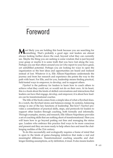### Foreword

ost likely you are holding this book because you are searching for something. That's probably a good sign: real leaders are almost always looking further down the road, beyond what they can currently see. Maybe the thing you are seeking is some wisdom that is just beyond your grasp or maybe it is some truth that you have lost along the way. Perhaps you see that others around you (or who report to you) have great, yet unfulfilled potential. Perhaps you are looking for ways to open the organization so the best ideas and opportunities are heard and realized instead of lost. Whatever it is, Elle Allison-Napolitano understands the journey and from her research and experience she points the way to the path with heart. For Elle, and for you, leadership means finding practical, field-tested ways to empower, to develop, and to support others.

*Flywheel* is the pathway for leaders to learn how to coach others to achieve what they could not, or would not do on their own. At its heart, this is a book about the kinds of skilled conversations and interactions that leaders can have that engage, develop, and empower; it is about how leaders can be transformational coaches.

The title of the book comes from a simple idea of what a flywheel does. In a watch, the flywheel stores and balances energy. In systems, balancing energy is one of the key functions of leadership. But how? *Flywheel* provides a constellation of practical skills, steps, and protocols for leaders to support other leaders through coaching, both formally and informally. Through examples, stories, and research, Elle Allison-Napolitano provides a set of coaching skills that are nothing short of transformational. Here you will learn how to go beyond putting out fires and managing the status quo. Leaders who embrace this practice find ways to be more conscious and present and they are more ready to help others face and meet the challenging realities of the 21st century.

To do this successfully and ecologically requires a frame of mind that is open to the kinds of game-changing initiatives that make a real and meaningful difference. Transformational coaching unearths and challenges limiting assumptions, as by definition, it must. It also means leaders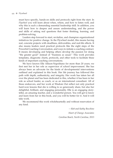must have specific, hands-on skills and protocols right from the start. In *Flywheel* you will learn about when, where, and how to listen well, and why this is such a demanding essential leadership skill. In addition, you will learn how to deepen and assure understanding, and the power and skills of asking real questions that foster thinking, learning, and problem-solving.

Leaders step forward to start, revitalize, and champion organizational initiatives for positive change. In the Flywheel model, this means having real, concrete projects with deadlines, deliverables, and real-life effects. It also means leaders need practical protocols like the eight steps of the Powerful Coaching Conversation, and ways to initiate a coaching contract. It means developing and helping others develop the passion for doing "the greater good" instead of "business as usual." This work provides templates, diagnostic charts, protocols, and other tools to facilitate these kinds of important coaching conversations.

We have known Elle Allison-Napolitano for more than 20 years; we first met her in her role as supervisor of school improvement. She has always been an advocate for the kinds of developmental interventions outlined and explained in this book. Her life journey has followed this path with depth, authenticity, and integrity. Her work has taken her all over the planet and has been dedicated to this, whether it has been in her role as school leader, as coach, or as an international consultant. All of these endeavors, and her work at Wisdom Out reflect not only practical hard-won lessons that she is willing to so generously share, but also her delightful, brilliant, and engaging personality. Elle is an engaging storyteller, an amazing teacher, and a wonderful person. You will get to know and learn from her in this book, and you will be better for it. And it will take work.

We recommend this work wholeheartedly and without reservation of any kind.

> *—Rob and Kathy Bocchino Heart of Change Associates Carolina Beach, North Carolina, 2013*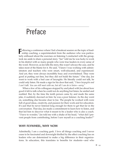### Preface

**F**ollowing a conference where I led a breakout session on the topic of lead-<br>ership coaching, a superintendent from the audience who was particularly enthused about the exercises on listening I conducted with the group, took me aside to share a personal story. "Joe" told me he was lucky to work in his district with so many people who were true leaders in every sense of the word. However, as Joe tells the story, this wasn't always the case, and he takes most of the blame for it. He said, "I knew I was working with administrators and teachers who were smart, well-educated, and experienced. And yet, they were always incredibly busy and overwhelmed. They were good at putting out fires, but they did not build the future." One day, Joe went to work with a bad case of laryngitis. He literally could not talk, he could only listen. He made a sign for his door that said, *"I have laryngitis and I can't talk. You can still meet with me, but all I can do is listen—sorry."*

When a few of his colleagues stopped by and joked with Joe about how good it felt to talk when he could not do anything but listen, he smiled and nodded. But, by the time the tenth person came by and made the same joke, it suddenly dawned on him: he was a poor listener. As the day went on, something else became clear to Joe. The people he worked with were full of good ideas, creativity, and passion for their work and for education. It's just that he never listened long enough for them to get that far in the conversation. That day, Joe made a commitment to learn how to listen, and that led him to discover what it meant to be a leader who is also a coach. "I have to wonder," Joe told me with a shake of his head, "what did I prevent people from contributing, before I saw myself as a coaching leader?"

#### **WHY FLYWHEEL, WHY NOW**

Admittedly, I am a coaching geek. I love all things coaching and I never cease to be fascinated and downright thrilled by the effect coaching has on leaders who are determined to make a big difference in their organizations. In education, this translates to benefits for students—and who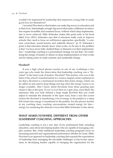wouldn't be impressed by leadership that empowers young folks to make good lives for themselves?

I invented Flywheel so that leaders can make big moves in education and in their lives. Interestingly enough, big moves that make a difference in education require incredible and sustained focus, without which deep implementation is never achieved. Mike Schmoker makes this point early in his book titled *Focus* (2011). Schmoker says that if educators really want to improve schools, they need to focus on well-known approaches, specifically, "a common curriculum, sound lessons, and authentic literacy" (p. 9). Schmoker's point is that educators already know what works. As he sees it, the problem is that "we have never fully clarified them or obsessed over their implementation." Leadership coaching is a personalized strategy for just that—for mobilizing the energy of leaders to obsess on deep implementation of what works and for taking action to make systemic and sustainable change.

#### **Flywheel?**

It was a high school physics teacher in one of my workshops a few years ago who made the observation that leadership coaching was a "flywheel" to the hard work of leaders. Flywheel? This teacher, who was at the helm of his school's transformation to a science magnet center explained to me that a flywheel is a mechanical invention that stores energy, which can be called on and used to keep things moving when the energy source is no longer available. Aha! I know about flywheels from those grueling spin classes I take at the gym. If you've ever been in a spin class, most likely the stationary bike you rode utilized a large single flywheel that you could adjust to simulate the demands of the open road, from a nice flat course (where the flywheel is transferring a lot of energy to the pedals) to a steep hill (where less energy is transferred to the pedals). For the physics teacher in my coaching class, coaching conversations created energy for him energy for sustaining the obsessive focus that Mike Schmoker writes about.

#### **WHAT MAKES FLYWHEEL DIFFERENT FROM OTHER LEADERSHIP COACHING APPROACHES**

Leadership coaching is not a new idea. Every professional field, including education, cares about developing leaders who are capable of managing complex systems. But, while traditional leadership coaching programs focus on increasing personal and organizational performance (Storber & Grant, 2006), Flywheel is an approach to leadership coaching that expands the expectations of leadership from managing the inevitable challenges of day-to-day operations, to developing leaders capable of changing the organization for the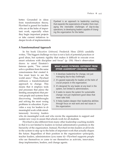better. Grounded in ideas from transformation theory, Flywheel is geared for leaders who are at the helm of important work, especially when they begin important projects or take current initiatives to deeper levels of implementation.

Flywheel is an approach to leadership coaching that expands the expectations of leaders from managing the inevitable challenges of day-to-day operations, to developing leaders capable of changing the organization for the better.

#### **A Transformational Approach**

In his book *Education Unbound*, Frederick Hess (2010) candidly writes, "The biggest challenge we face is not a lack of potential practices or good ideas, but systemic rigidity that makes it difficult to execute even smart solutions with discipline and focus" (p. 130). Hess's observation

draws to mind Einstein's famous quote, "You cannot solve a problem from the same consciousness that created it. You must learn to see the world anew." Thus, Flywheel embraces a transformational approach to change. This means that it employs tools and processes that pierce the limiting assumptions that prevent people and systems from discovering breakthroughs and solving the most vexing problems in education. It provides a way for leaders to *do* meaningful work while simultaneously *becoming* leaders

#### WHAT MAKES FLYWHEEL DIFFERENT FROM OTHER LEADERSHIP COACHING MODELS

- 1. It develops leadership for change, not just managing day-to-day challenges.
- 2. It's geared especially for leaders at the helm of crucial projects in the organization.
- 3. It's designed for any leader at any level in the system, not limited to administrators.
- 4. It seeks to rewire the system for sustainable change—not just implement good ideas that never take hold.
- 5. It helps leaders deepen their leadership abilities through focus on real work and real issues in the organization.

who do meaningful work and who rewire the organization to support and sustain new ways to assure that schools work for all students.

Flywheel is also different from many other leadership coaching models in that it is not limited to leaders in formal administrative positions in the hierarchy of the organization. Instead, Flywheel invites leaders at all levels in the system to step up to the helm of important work that actually shapes the future. Regardless of their position in the organization—principals, teacher leaders, administrators (you name it)—Flywheel supports people who see themselves or come to see themselves as activists, innovators, deep implementers, leaders, and change agents.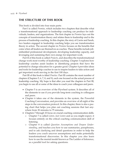#### **THE STRUCTURE OF THIS BOOK**

This book is divided into four main parts:

Part I is called *Promise*, which includes two chapters that describe what a transformational approach to leadership coaching can produce for individuals, leaders, and organizations. The first chapter in *Promise* lays out the concepts of transformation theory and relates them to leadership and to the process of leadership coaching. In this chapter, the story of Carrie and Sarah, two leaders engaged in leadership coaching helps you see transformation theory in action. The second chapter in *Promise* focuses on the benefits that come when all leaders see themselves as coaches. These benefits include jobembedded professional development, developing leadership capacity, and leveraging and sustaining their own energy for important work.

Part II of this book is called *Projects*, and describes the transformational change work most worthy of leadership coaching. Chapter 3 explores how leadership coaches assist leaders in identifying projects that have the potential to change education for a greater good. Chapter 4 provides ideas and tools for leadership coaches to use to inspire leaders to take action and get important work moving in the first 100 days.

Part III of this book is titled *Practice*. Part III contains the most number of chapters (Chapters 5, 6, 7, 8, and 9), each one focused on the actual process of leadership coaching. My hope is that after you read the chapters in Part III, you begin to use all or some of the ideas to coach your colleagues and peers.

- Chapter 5 is an overview of the Flywheel system. It describes all of the elements to use if you provide long-term coaching to colleagues and peers.
- Chapter 6 takes one of the elements in the system, the Powerful Coaching Conversation, and provides an overview of all eight of the steps in the conversation protocol. In this chapter, there is also a pacing chart that helps you plan out coaching sessions that last anywhere from 30 minutes to 75 minutes.
- Chapters 7 through 10 focus on crucial coaching communication skills.
	- � Chapter 7 is called *Listen, Just Listen* and as you might expect, it focuses entirely on the critical coaching communication skill of listening.
	- � Chapter 8 is called *Question Assumptions and Deepen Understanding*, and teaches you how to use summaries, paraphrases, and to ask clarifying and detail questions in order to help the leaders you coach uncover assumptions and make potentially transformational discoveries. In this chapter you also learn how to use the mental model known as The Ladder of Inference, as a parallel tool for asking questions.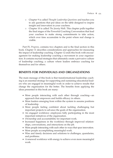- � Chapter 9 is called *Thought Leadership Questions* and teaches you to ask questions that put ideas on the table designed to inspire insight and innovation in your coachees.
- � Chapter 10 is called *The Jaunty Walk*. This chapter pulls together the final stages of the Powerful Coaching Conversation that lead your coachees to make strong commitments to take action, which over time accumulate to the point where real change is visible.

Part IV, *Progress,* contains two chapters and is the final section in this book. Chapter 11 describes considerations and approaches for measuring the impact of leadership coaching. Chapter 12 ends this book with encouragement for making leadership coaching a movement in your organization. It contains myriad strategies that ultimately create a pervasive culture of leadership coaching; a culture where leaders embrace coaching for themselves and for others.

#### **BENEFITS FOR INDIVIDUALS AND ORGANIZATIONS**

The main message of this book is that transformational leadership coaching is an essential strategy for supporting and sustaining educational leaders who are engaged in meaningful work in order to achieve results that change the organization for the better. The benefits from applying the ideas presented in this book are many:

- More people interacting with each other through coaching—an approach that empowers and builds efficacy in others.
- More leaders emerging from within the system to assume positions of leadership.
- More people feeling confident about tackling challenging but important projects to advance the goals of the organization.
- An engaged workforce: employees fully participating in the most important initiatives of the organization.
- Ownership and accountability for important work.
- Increased happiness in the workforce through improved relationships, conversations, and interactions on the job.
- More people interacting with each other in ways that spur innovation.
- More people accomplishing meaningful work.
- Wise and timely decisions and solutions to challenges, quandaries, and problems.
- A renewed workforce with energy to achieve even more meaningful work.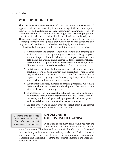#### **WHO THIS BOOK IS FOR**

This book is for anyone who wants to know how to use a transformational approach to leadership coaching in order to engage, influence, and support their peers and colleagues as they accomplish meaningful work. In education, leaders who want to add coaching to their leadership repertoire come from the site level, district level, state level, and university level. These savvy leaders understand that their primary job is to develop the leadership capacity of the people they work with and/or supervise, and they want to learn how to coach others on the job, and on the fly.

Specifically, these groups of leaders will find value in reading *Flywheel*:

- 1. Administrators and teacher leaders who want to add coaching as a leadership strategy for supporting and sustaining colleagues, peers, and direct reports. These individuals are principals, assistant principals, deans, department chairs, teacher leaders of professional learning communities, superintendents, assistant superintendents, regional directors, program supervisors, and curriculum coordinators.
- 2. Individuals who identify themselves as coaches and for whom coaching is one of their primary responsibilities. These coaches may work internal or external to the school/district/university/ organization or they may work for an agency that provides leadership coaching to leaders in these systems.
- 3. Supervisors/directors/mentors of coaching programs who make decisions about the professional development they wish to provide for the coaches they supervise.
- 4. Senior leaders who want to create a culture of coaching to build leadership capacity throughout the organization, and who want the administrators they employ to adopt a coaching approach in their management/ leadership style as they work with the people they supervise.
- 5. Leaders who want to know what to expect from a leadership coach, should they choose to work with one.

Download tools and access other resources at www .WisdomOut.com and at www.Corwin.com/Flywheel.

#### **OPPORTUNITIES FOR CONTINUED LEARNING**

In addition to the many tools found between the covers of this book, I also invite you to come to

www.Corwin.com/Flywheel and to www.WisdomOut.com to download them for handy and convenient use. When you visit the Wisdom Out website, you also have the chance to register for complimentary webinars on leadership and leadership coaching that further illuminate the ideas presented in this book.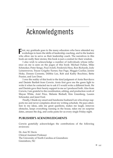### Acknowledgments

**F**irst, my gratitude goes to the many educators who have attended my workshops to learn the skills of leadership coaching, and to the leaders who allow me to serve as their leadership coach. The narratives in this book are really their stories; this book is just a conduit for their wisdom.

I also wish to acknowledge a number of individuals whose influence on me is seen on the pages of this book: Michael Fullan, Mike Schmoker, Peter Senge, Paul Axtell, Frederick Hess, Ron Richards, Jody Leinenwever, Tracee Grigsby-Turner, Sue Page, Maggie Cuellar, Janine Hoke, Doreen Corrente, Debbie Lee, Rob and Kathy Bocchino, Bette Frasier, and Len Dose.

I owe the reality of this book to the kind judgment of Arnis Burvikovs and Desirée Bartlett from Corwin. Arnis first gave me the green light to write it when he contacted me to ask if I would write a different book. He and Desirée gave their hearty support to me as I produced both. Also from Corwin, I am grateful to the coordination, editing, and production work of Mayan White, Ariel Price, Melanie Birdsall, Kim Greenberg, Lauren Schroeder, and Janet Ford.

Finally, I thank my smart and handsome husband Len who *always* supports me and never complains about my writing schedule. He pays attention to my ideas, asks me great questions, makes me laugh, removes obstacles, keeps everything running in the house, takes me on surprise dates, amuses the dog, and cooks pasta for us every single Friday night.

#### **PUBLISHER'S ACKNOWLEDGMENTS**

Corwin gratefully acknowledges the contributions of the following reviewers:

Dr. Ann W. Davis Clinical Assistant Professor The University of North Carolina at Greensboro Greensboro, NC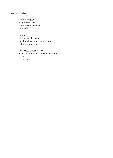xxii ● Flywheel

Jason Ellingson Superintendent Collins-Maxwell CSD Maxwell, IA

Laura Flynn Instructional Coach Los Ranchos Elementary School Albuquerque, NM

Dr. Tracee Grigsby-Turner Supervisor of Professional Development Alief ISD Houston, TX